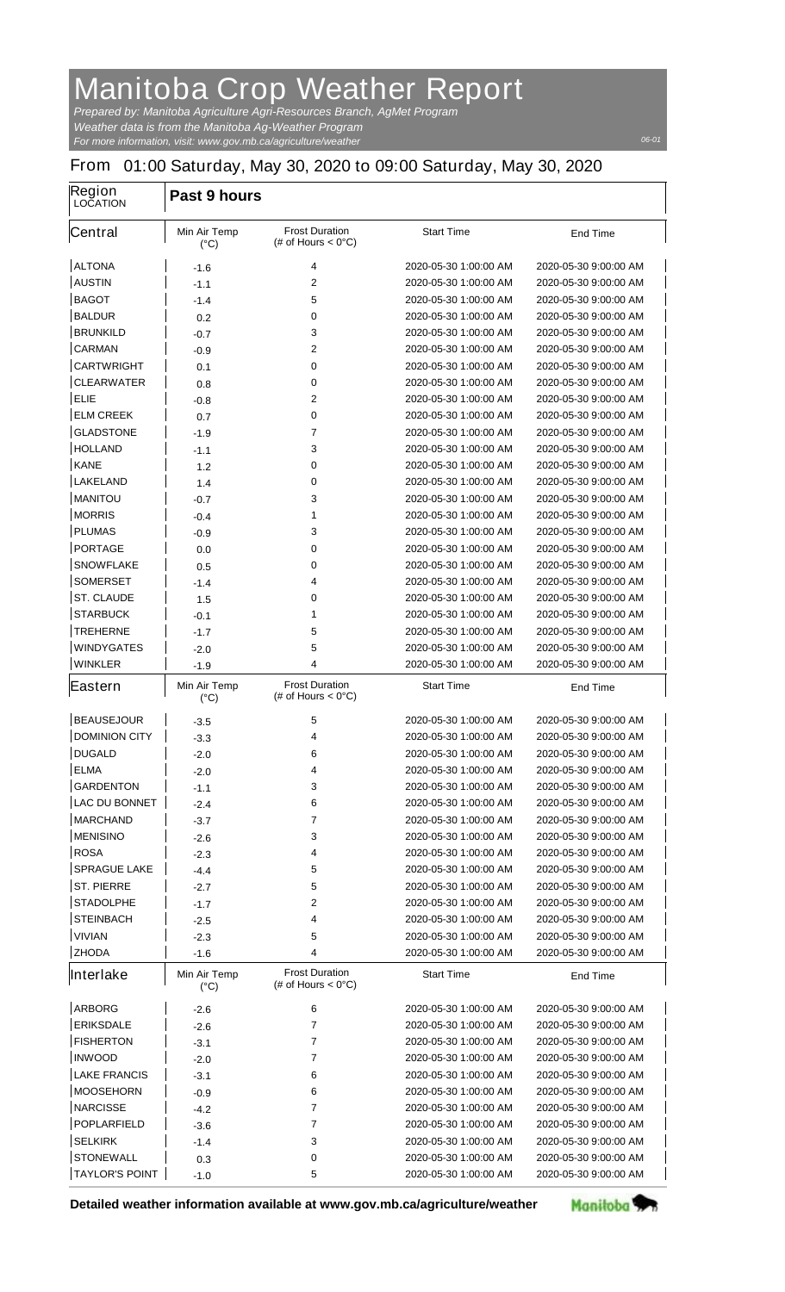## **Manitoba Crop Weather Report**

*For more information, visit: www.gov.mb.ca/agriculture/weather Prepared by: Manitoba Agriculture Agri-Resources Branch, AgMet Program Weather data is from the Manitoba Ag-Weather Program*

## **From 01:00 Saturday, May 30, 2020 to 09:00 Saturday, May 30, 2020**

| Region<br><b>LOCATION</b> | Past 9 hours                         |                                                       |                       |                       |
|---------------------------|--------------------------------------|-------------------------------------------------------|-----------------------|-----------------------|
| <b>Central</b>            | <b>Min Air Temp</b><br>$(^{\circ}C)$ | <b>Frost Duration</b><br>(# of Hours $< 0^{\circ}$ C) | <b>Start Time</b>     | <b>End Time</b>       |
| <b>ALTONA</b>             | -1.6                                 | 4                                                     | 2020-05-30 1:00:00 AM | 2020-05-30 9:00:00 AM |
| <b>AUSTIN</b>             | $-1.1$                               | $\mathbf 2$                                           | 2020-05-30 1:00:00 AM | 2020-05-30 9:00:00 AM |
| <b>BAGOT</b>              | $-1.4$                               | 5                                                     | 2020-05-30 1:00:00 AM | 2020-05-30 9:00:00 AM |
| <b>BALDUR</b>             | 0.2                                  | 0                                                     | 2020-05-30 1:00:00 AM | 2020-05-30 9:00:00 AM |
| <b>BRUNKILD</b>           | -0.7                                 | 3                                                     | 2020-05-30 1:00:00 AM | 2020-05-30 9:00:00 AM |
| <b>CARMAN</b>             | -0.9                                 | 2                                                     | 2020-05-30 1:00:00 AM | 2020-05-30 9:00:00 AM |
| <b>CARTWRIGHT</b>         | 0.1                                  | 0                                                     | 2020-05-30 1:00:00 AM | 2020-05-30 9:00:00 AM |
| <b>CLEARWATER</b>         | 0.8                                  | 0                                                     | 2020-05-30 1:00:00 AM | 2020-05-30 9:00:00 AM |
| <b>ELIE</b>               | -0.8                                 | $\mathbf{2}$                                          | 2020-05-30 1:00:00 AM | 2020-05-30 9:00:00 AM |
| <b>ELM CREEK</b>          | 0.7                                  | 0                                                     | 2020-05-30 1:00:00 AM | 2020-05-30 9:00:00 AM |
| <b>GLADSTONE</b>          | $-1.9$                               | 7                                                     | 2020-05-30 1:00:00 AM | 2020-05-30 9:00:00 AM |
| <b>HOLLAND</b>            | $-1.1$                               | 3                                                     | 2020-05-30 1:00:00 AM | 2020-05-30 9:00:00 AM |
| <b>KANE</b>               | 1.2                                  | 0                                                     | 2020-05-30 1:00:00 AM | 2020-05-30 9:00:00 AM |
| <b>LAKELAND</b>           | 1.4                                  | 0                                                     | 2020-05-30 1:00:00 AM | 2020-05-30 9:00:00 AM |
| <b>MANITOU</b>            | $-0.7$                               | 3                                                     | 2020-05-30 1:00:00 AM | 2020-05-30 9:00:00 AM |
| <b>MORRIS</b>             | $-0.4$                               | 1                                                     | 2020-05-30 1:00:00 AM | 2020-05-30 9:00:00 AM |
| <b>PLUMAS</b>             | -0.9                                 | 3                                                     | 2020-05-30 1:00:00 AM | 2020-05-30 9:00:00 AM |
| <b>PORTAGE</b>            | 0.0                                  | 0                                                     | 2020-05-30 1:00:00 AM | 2020-05-30 9:00:00 AM |
| <b>SNOWFLAKE</b>          | 0.5                                  | 0                                                     | 2020-05-30 1:00:00 AM | 2020-05-30 9:00:00 AM |
| <b>SOMERSET</b>           | $-1.4$                               | 4                                                     | 2020-05-30 1:00:00 AM | 2020-05-30 9:00:00 AM |
| <b>ST. CLAUDE</b>         | 1.5                                  | 0                                                     | 2020-05-30 1:00:00 AM | 2020-05-30 9:00:00 AM |
| <b>STARBUCK</b>           | $-0.1$                               | 1                                                     | 2020-05-30 1:00:00 AM | 2020-05-30 9:00:00 AM |
| <b>TREHERNE</b>           | $-1.7$                               | 5                                                     | 2020-05-30 1:00:00 AM | 2020-05-30 9:00:00 AM |
| <b>WINDYGATES</b>         | -2.0                                 | 5                                                     | 2020-05-30 1:00:00 AM | 2020-05-30 9:00:00 AM |
| <b>WINKLER</b>            | $-1.9$                               | 4                                                     | 2020-05-30 1:00:00 AM | 2020-05-30 9:00:00 AM |
| Eastern                   | <b>Min Air Temp</b>                  | <b>Frost Duration</b><br>(# of Hours $< 0^{\circ}$ C) | <b>Start Time</b>     | <b>End Time</b>       |
|                           | $(^{\circ}C)$                        |                                                       |                       |                       |
| <b>BEAUSEJOUR</b>         | -3.5                                 | 5                                                     | 2020-05-30 1:00:00 AM | 2020-05-30 9:00:00 AM |
| <b>DOMINION CITY</b>      | $-3.3$                               | 4                                                     | 2020-05-30 1:00:00 AM | 2020-05-30 9:00:00 AM |
| <b>DUGALD</b>             | $-2.0$                               | 6                                                     | 2020-05-30 1:00:00 AM | 2020-05-30 9:00:00 AM |
| <b>ELMA</b>               | -2.0                                 | 4                                                     | 2020-05-30 1:00:00 AM | 2020-05-30 9:00:00 AM |
| <b>GARDENTON</b>          | $-1.1$                               | 3                                                     | 2020-05-30 1:00:00 AM | 2020-05-30 9:00:00 AM |
| <b>LAC DU BONNET</b>      | -2.4                                 | 6                                                     | 2020-05-30 1:00:00 AM | 2020-05-30 9:00:00 AM |
| <b>MARCHAND</b>           | -3.7                                 | 7                                                     | 2020-05-30 1:00:00 AM | 2020-05-30 9:00:00 AM |
| <b>MENISINO</b>           | -2.6                                 | 3                                                     | 2020-05-30 1:00:00 AM | 2020-05-30 9:00:00 AM |
| <b>ROSA</b>               | -2.3                                 | 4                                                     | 2020-05-30 1:00:00 AM | 2020-05-30 9:00:00 AM |
| <b>SPRAGUE LAKE</b>       | -4.4                                 | 5                                                     | 2020-05-30 1:00:00 AM | 2020-05-30 9:00:00 AM |
| <b>ST. PIERRE</b>         | $-2.7$                               | 5                                                     | 2020-05-30 1:00:00 AM | 2020-05-30 9:00:00 AM |
| <b>STADOLPHE</b>          | -1.7                                 | 2                                                     | 2020-05-30 1:00:00 AM | 2020-05-30 9:00:00 AM |
| <b>STEINBACH</b>          | $-2.5$                               | 4                                                     | 2020-05-30 1:00:00 AM | 2020-05-30 9:00:00 AM |
| <b>VIVIAN</b>             | -2.3                                 | 5                                                     | 2020-05-30 1:00:00 AM | 2020-05-30 9:00:00 AM |
| <b>ZHODA</b>              | -1.6                                 | 4                                                     | 2020-05-30 1:00:00 AM | 2020-05-30 9:00:00 AM |
| Interlake                 | <b>Min Air Temp</b><br>$(^{\circ}C)$ | <b>Frost Duration</b><br>(# of Hours $< 0^{\circ}$ C) | <b>Start Time</b>     | <b>End Time</b>       |
| <b>ARBORG</b>             | -2.6                                 | 6                                                     | 2020-05-30 1:00:00 AM | 2020-05-30 9:00:00 AM |
| <b>ERIKSDALE</b>          | -2.6                                 | 7                                                     | 2020-05-30 1:00:00 AM | 2020-05-30 9:00:00 AM |
| <b>FISHERTON</b>          | -3.1                                 | 7                                                     | 2020-05-30 1:00:00 AM | 2020-05-30 9:00:00 AM |
| <b>INWOOD</b>             | -2.0                                 | 7                                                     | 2020-05-30 1:00:00 AM | 2020-05-30 9:00:00 AM |
| <b>LAKE FRANCIS</b>       | -3.1                                 | 6                                                     | 2020-05-30 1:00:00 AM | 2020-05-30 9:00:00 AM |
| <b>MOOSEHORN</b>          | -0.9                                 | 6                                                     | 2020-05-30 1:00:00 AM | 2020-05-30 9:00:00 AM |
| <b>NARCISSE</b>           | $-4.2$                               | 7                                                     | 2020-05-30 1:00:00 AM | 2020-05-30 9:00:00 AM |
| <b>POPLARFIELD</b>        | -3.6                                 | 7                                                     | 2020-05-30 1:00:00 AM | 2020-05-30 9:00:00 AM |
| <b>SELKIRK</b>            | -1.4                                 | 3                                                     | 2020-05-30 1:00:00 AM | 2020-05-30 9:00:00 AM |
| <b>STONEWALL</b>          | 0.3                                  | 0                                                     | 2020-05-30 1:00:00 AM | 2020-05-30 9:00:00 AM |
| <b>TAYLOR'S POINT</b>     | -1.0                                 | 5                                                     | 2020-05-30 1:00:00 AM | 2020-05-30 9:00:00 AM |

**Detailed weather information available at www.gov.mb.ca/agriculture/weather**